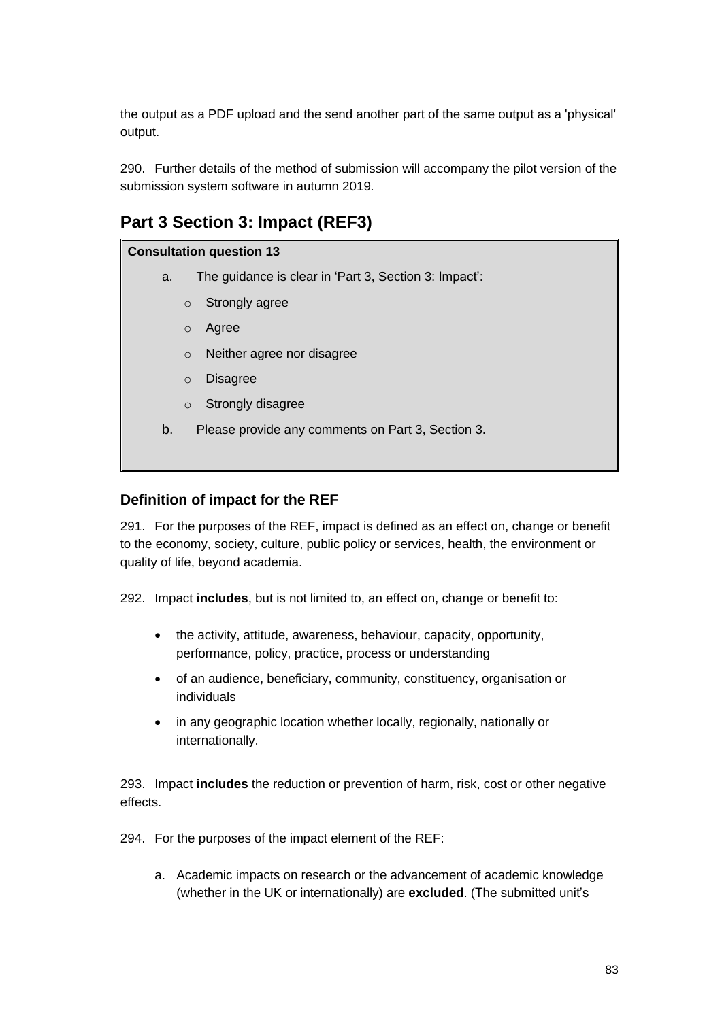the output as a PDF upload and the send another part of the same output as a 'physical' output.

290. Further details of the method of submission will accompany the pilot version of the submission system software in autumn 2019*.*

# **Part 3 Section 3: Impact (REF3)**

## **Consultation question 13**

- a. The guidance is clear in 'Part 3, Section 3: Impact':
	- o Strongly agree
	- o Agree
	- o Neither agree nor disagree
	- o Disagree
	- o Strongly disagree
- b. Please provide any comments on Part 3, Section 3.

## **Definition of impact for the REF**

291. For the purposes of the REF, impact is defined as an effect on, change or benefit to the economy, society, culture, public policy or services, health, the environment or quality of life, beyond academia.

292. Impact **includes**, but is not limited to, an effect on, change or benefit to:

- the activity, attitude, awareness, behaviour, capacity, opportunity, performance, policy, practice, process or understanding
- of an audience, beneficiary, community, constituency, organisation or individuals
- in any geographic location whether locally, regionally, nationally or internationally.

293. Impact **includes** the reduction or prevention of harm, risk, cost or other negative effects.

294. For the purposes of the impact element of the REF:

a. Academic impacts on research or the advancement of academic knowledge (whether in the UK or internationally) are **excluded**. (The submitted unit's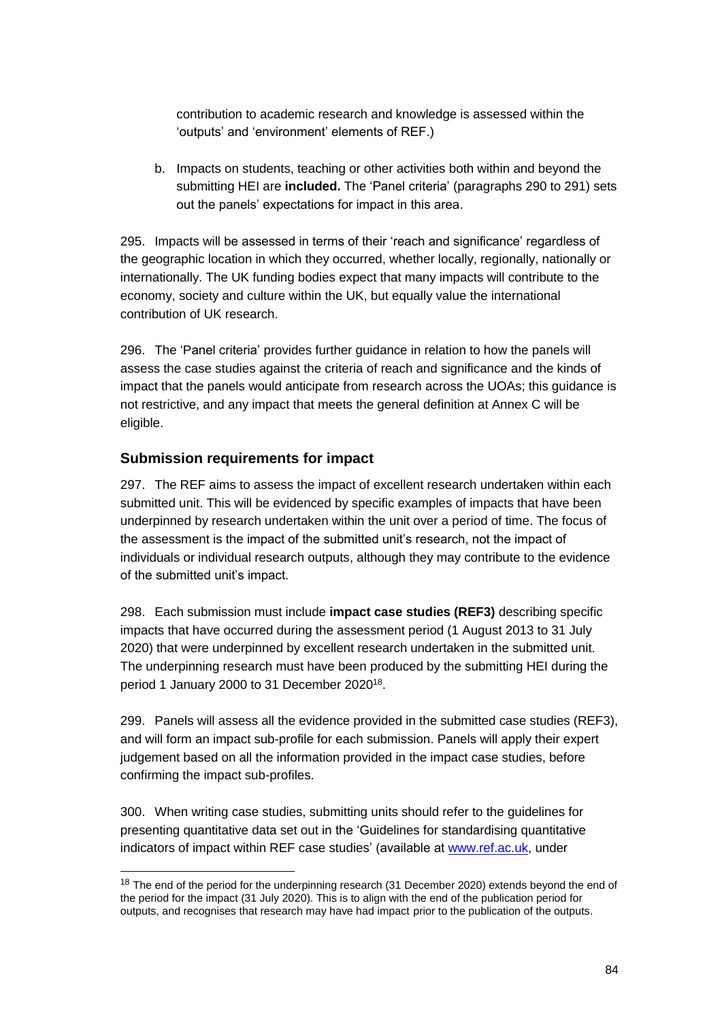contribution to academic research and knowledge is assessed within the 'outputs' and 'environment' elements of REF.)

b. Impacts on students, teaching or other activities both within and beyond the submitting HEI are **included.** The 'Panel criteria' (paragraphs 290 to 291) sets out the panels' expectations for impact in this area.

295. Impacts will be assessed in terms of their 'reach and significance' regardless of the geographic location in which they occurred, whether locally, regionally, nationally or internationally. The UK funding bodies expect that many impacts will contribute to the economy, society and culture within the UK, but equally value the international contribution of UK research.

296. The 'Panel criteria' provides further guidance in relation to how the panels will assess the case studies against the criteria of reach and significance and the kinds of impact that the panels would anticipate from research across the UOAs; this guidance is not restrictive, and any impact that meets the general definition at Annex C will be eligible.

## **Submission requirements for impact**

 $\overline{a}$ 

297. The REF aims to assess the impact of excellent research undertaken within each submitted unit. This will be evidenced by specific examples of impacts that have been underpinned by research undertaken within the unit over a period of time. The focus of the assessment is the impact of the submitted unit's research, not the impact of individuals or individual research outputs, although they may contribute to the evidence of the submitted unit's impact.

298. Each submission must include **impact case studies (REF3)** describing specific impacts that have occurred during the assessment period (1 August 2013 to 31 July 2020) that were underpinned by excellent research undertaken in the submitted unit. The underpinning research must have been produced by the submitting HEI during the period 1 January 2000 to 31 December 2020<sup>18</sup>.

299. Panels will assess all the evidence provided in the submitted case studies (REF3), and will form an impact sub-profile for each submission. Panels will apply their expert judgement based on all the information provided in the impact case studies, before confirming the impact sub-profiles.

300. When writing case studies, submitting units should refer to the guidelines for presenting quantitative data set out in the 'Guidelines for standardising quantitative indicators of impact within REF case studies' (available at www.ref.ac.uk, under

<sup>&</sup>lt;sup>18</sup> The end of the period for the underpinning research (31 December 2020) extends beyond the end of the period for the impact (31 July 2020). This is to align with the end of the publication period for outputs, and recognises that research may have had impact prior to the publication of the outputs.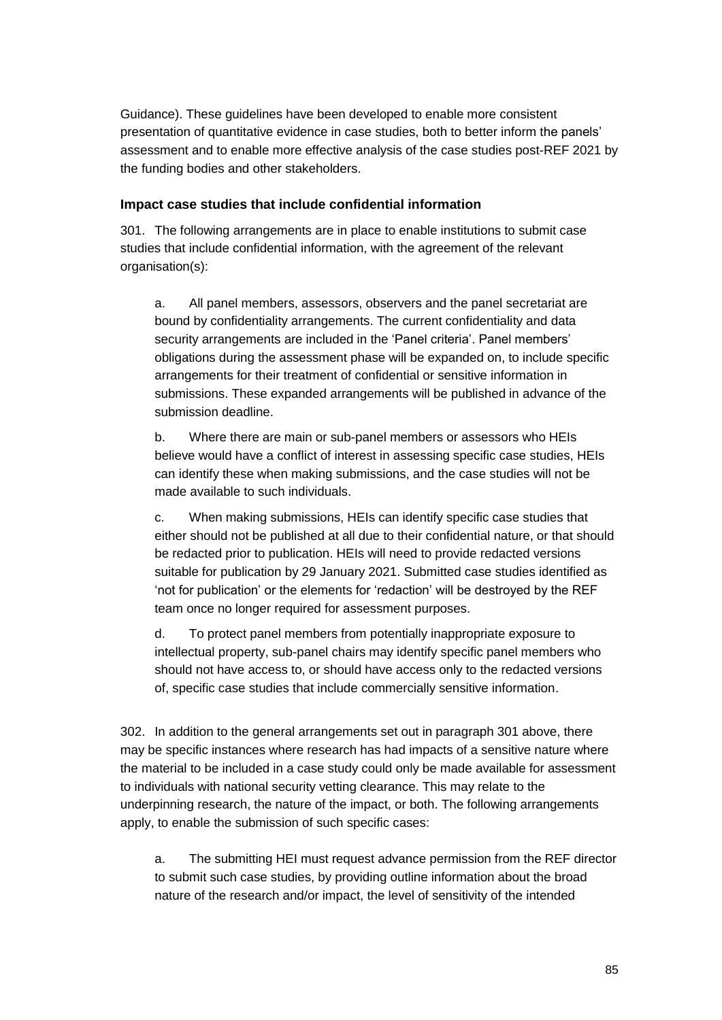Guidance). These guidelines have been developed to enable more consistent presentation of quantitative evidence in case studies, both to better inform the panels' assessment and to enable more effective analysis of the case studies post-REF 2021 by the funding bodies and other stakeholders.

#### **Impact case studies that include confidential information**

301. The following arrangements are in place to enable institutions to submit case studies that include confidential information, with the agreement of the relevant organisation(s):

a. All panel members, assessors, observers and the panel secretariat are bound by confidentiality arrangements. The current confidentiality and data security arrangements are included in the 'Panel criteria'. Panel members' obligations during the assessment phase will be expanded on, to include specific arrangements for their treatment of confidential or sensitive information in submissions. These expanded arrangements will be published in advance of the submission deadline.

b. Where there are main or sub-panel members or assessors who HEIs believe would have a conflict of interest in assessing specific case studies, HEIs can identify these when making submissions, and the case studies will not be made available to such individuals.

c. When making submissions, HEIs can identify specific case studies that either should not be published at all due to their confidential nature, or that should be redacted prior to publication. HEIs will need to provide redacted versions suitable for publication by 29 January 2021. Submitted case studies identified as 'not for publication' or the elements for 'redaction' will be destroyed by the REF team once no longer required for assessment purposes.

d. To protect panel members from potentially inappropriate exposure to intellectual property, sub-panel chairs may identify specific panel members who should not have access to, or should have access only to the redacted versions of, specific case studies that include commercially sensitive information.

302. In addition to the general arrangements set out in paragraph 301 above, there may be specific instances where research has had impacts of a sensitive nature where the material to be included in a case study could only be made available for assessment to individuals with national security vetting clearance. This may relate to the underpinning research, the nature of the impact, or both. The following arrangements apply, to enable the submission of such specific cases:

a. The submitting HEI must request advance permission from the REF director to submit such case studies, by providing outline information about the broad nature of the research and/or impact, the level of sensitivity of the intended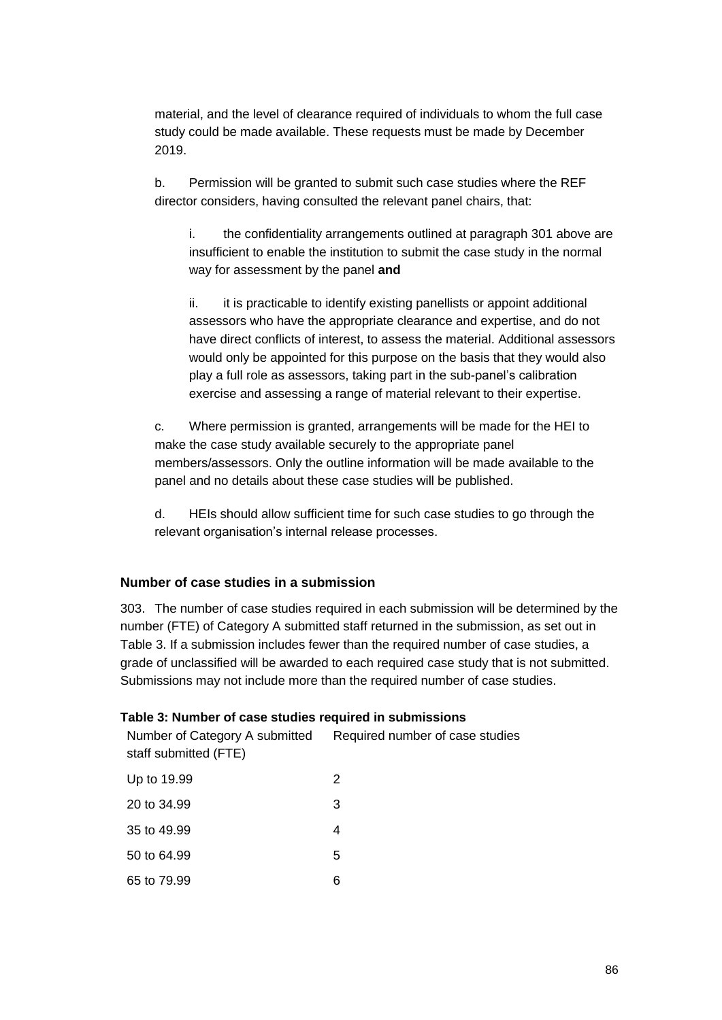material, and the level of clearance required of individuals to whom the full case study could be made available. These requests must be made by December 2019.

b. Permission will be granted to submit such case studies where the REF director considers, having consulted the relevant panel chairs, that:

i. the confidentiality arrangements outlined at paragraph 301 above are insufficient to enable the institution to submit the case study in the normal way for assessment by the panel **and**

ii. it is practicable to identify existing panellists or appoint additional assessors who have the appropriate clearance and expertise, and do not have direct conflicts of interest, to assess the material. Additional assessors would only be appointed for this purpose on the basis that they would also play a full role as assessors, taking part in the sub-panel's calibration exercise and assessing a range of material relevant to their expertise.

c. Where permission is granted, arrangements will be made for the HEI to make the case study available securely to the appropriate panel members/assessors. Only the outline information will be made available to the panel and no details about these case studies will be published.

d. HEIs should allow sufficient time for such case studies to go through the relevant organisation's internal release processes.

### **Number of case studies in a submission**

303. The number of case studies required in each submission will be determined by the number (FTE) of Category A submitted staff returned in the submission, as set out in Table 3. If a submission includes fewer than the required number of case studies, a grade of unclassified will be awarded to each required case study that is not submitted. Submissions may not include more than the required number of case studies.

### **Table 3: Number of case studies required in submissions**

| Number of Category A submitted<br>staff submitted (FTE) | Required number of case studies |
|---------------------------------------------------------|---------------------------------|
| Up to 19.99                                             | 2                               |
| 20 to 34.99                                             | 3                               |
| 35 to 49.99                                             | 4                               |
| 50 to 64.99                                             | 5                               |
| 65 to 79.99                                             | 6                               |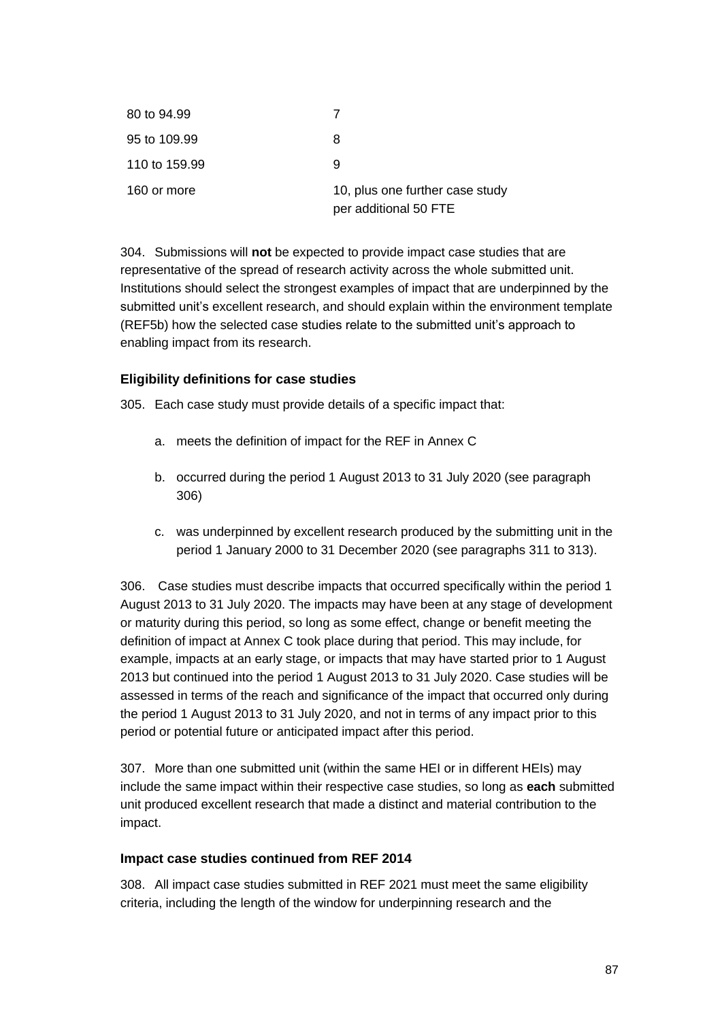| 80 to 94.99   |                                                          |
|---------------|----------------------------------------------------------|
| 95 to 109.99  | 8                                                        |
| 110 to 159.99 | 9                                                        |
| 160 or more   | 10, plus one further case study<br>per additional 50 FTE |

304. Submissions will **not** be expected to provide impact case studies that are representative of the spread of research activity across the whole submitted unit. Institutions should select the strongest examples of impact that are underpinned by the submitted unit's excellent research, and should explain within the environment template (REF5b) how the selected case studies relate to the submitted unit's approach to enabling impact from its research.

## **Eligibility definitions for case studies**

305. Each case study must provide details of a specific impact that:

- a. meets the definition of impact for the REF in Annex C
- b. occurred during the period 1 August 2013 to 31 July 2020 (see paragraph 306)
- c. was underpinned by excellent research produced by the submitting unit in the period 1 January 2000 to 31 December 2020 (see paragraphs 311 to 313).

306. Case studies must describe impacts that occurred specifically within the period 1 August 2013 to 31 July 2020. The impacts may have been at any stage of development or maturity during this period, so long as some effect, change or benefit meeting the definition of impact at Annex C took place during that period. This may include, for example, impacts at an early stage, or impacts that may have started prior to 1 August 2013 but continued into the period 1 August 2013 to 31 July 2020. Case studies will be assessed in terms of the reach and significance of the impact that occurred only during the period 1 August 2013 to 31 July 2020, and not in terms of any impact prior to this period or potential future or anticipated impact after this period.

307. More than one submitted unit (within the same HEI or in different HEIs) may include the same impact within their respective case studies, so long as **each** submitted unit produced excellent research that made a distinct and material contribution to the impact.

#### **Impact case studies continued from REF 2014**

308. All impact case studies submitted in REF 2021 must meet the same eligibility criteria, including the length of the window for underpinning research and the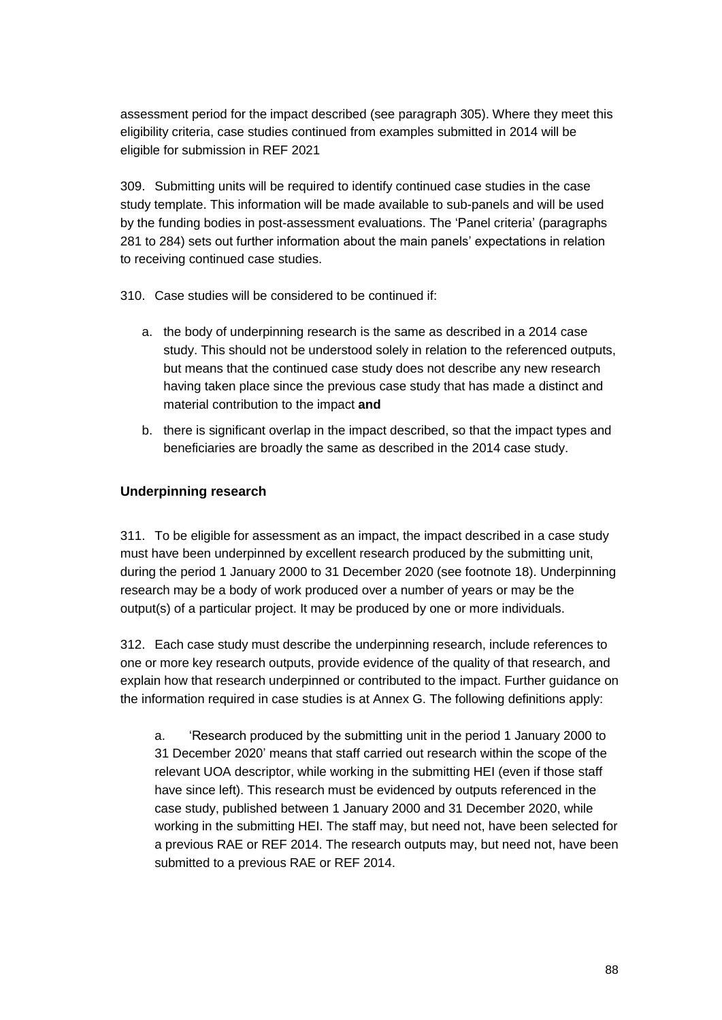assessment period for the impact described (see paragraph 305). Where they meet this eligibility criteria, case studies continued from examples submitted in 2014 will be eligible for submission in REF 2021

309. Submitting units will be required to identify continued case studies in the case study template. This information will be made available to sub-panels and will be used by the funding bodies in post-assessment evaluations. The 'Panel criteria' (paragraphs 281 to 284) sets out further information about the main panels' expectations in relation to receiving continued case studies.

310. Case studies will be considered to be continued if:

- a. the body of underpinning research is the same as described in a 2014 case study. This should not be understood solely in relation to the referenced outputs, but means that the continued case study does not describe any new research having taken place since the previous case study that has made a distinct and material contribution to the impact **and**
- b. there is significant overlap in the impact described, so that the impact types and beneficiaries are broadly the same as described in the 2014 case study.

## **Underpinning research**

311. To be eligible for assessment as an impact, the impact described in a case study must have been underpinned by excellent research produced by the submitting unit, during the period 1 January 2000 to 31 December 2020 (see footnote 18). Underpinning research may be a body of work produced over a number of years or may be the output(s) of a particular project. It may be produced by one or more individuals.

312. Each case study must describe the underpinning research, include references to one or more key research outputs, provide evidence of the quality of that research, and explain how that research underpinned or contributed to the impact. Further guidance on the information required in case studies is at Annex G. The following definitions apply:

a. 'Research produced by the submitting unit in the period 1 January 2000 to 31 December 2020' means that staff carried out research within the scope of the relevant UOA descriptor, while working in the submitting HEI (even if those staff have since left). This research must be evidenced by outputs referenced in the case study, published between 1 January 2000 and 31 December 2020, while working in the submitting HEI. The staff may, but need not, have been selected for a previous RAE or REF 2014. The research outputs may, but need not, have been submitted to a previous RAE or REF 2014.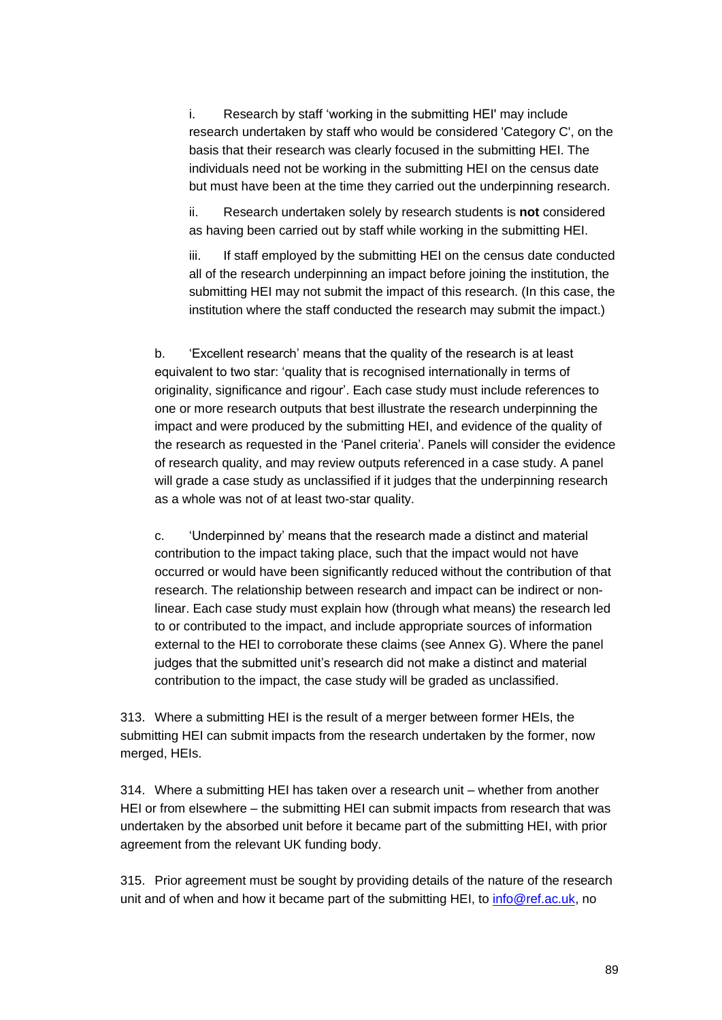i. Research by staff 'working in the submitting HEI' may include research undertaken by staff who would be considered 'Category C', on the basis that their research was clearly focused in the submitting HEI. The individuals need not be working in the submitting HEI on the census date but must have been at the time they carried out the underpinning research.

ii. Research undertaken solely by research students is **not** considered as having been carried out by staff while working in the submitting HEI.

iii. If staff employed by the submitting HEI on the census date conducted all of the research underpinning an impact before joining the institution, the submitting HEI may not submit the impact of this research. (In this case, the institution where the staff conducted the research may submit the impact.)

b. 'Excellent research' means that the quality of the research is at least equivalent to two star: 'quality that is recognised internationally in terms of originality, significance and rigour'. Each case study must include references to one or more research outputs that best illustrate the research underpinning the impact and were produced by the submitting HEI, and evidence of the quality of the research as requested in the 'Panel criteria'. Panels will consider the evidence of research quality, and may review outputs referenced in a case study. A panel will grade a case study as unclassified if it judges that the underpinning research as a whole was not of at least two-star quality.

c. 'Underpinned by' means that the research made a distinct and material contribution to the impact taking place, such that the impact would not have occurred or would have been significantly reduced without the contribution of that research. The relationship between research and impact can be indirect or nonlinear. Each case study must explain how (through what means) the research led to or contributed to the impact, and include appropriate sources of information external to the HEI to corroborate these claims (see Annex G). Where the panel judges that the submitted unit's research did not make a distinct and material contribution to the impact, the case study will be graded as unclassified.

313. Where a submitting HEI is the result of a merger between former HEIs, the submitting HEI can submit impacts from the research undertaken by the former, now merged, HEIs.

314. Where a submitting HEI has taken over a research unit – whether from another HEI or from elsewhere – the submitting HEI can submit impacts from research that was undertaken by the absorbed unit before it became part of the submitting HEI, with prior agreement from the relevant UK funding body.

315. Prior agreement must be sought by providing details of the nature of the research unit and of when and how it became part of the submitting HEI, to info@ref.ac.uk, no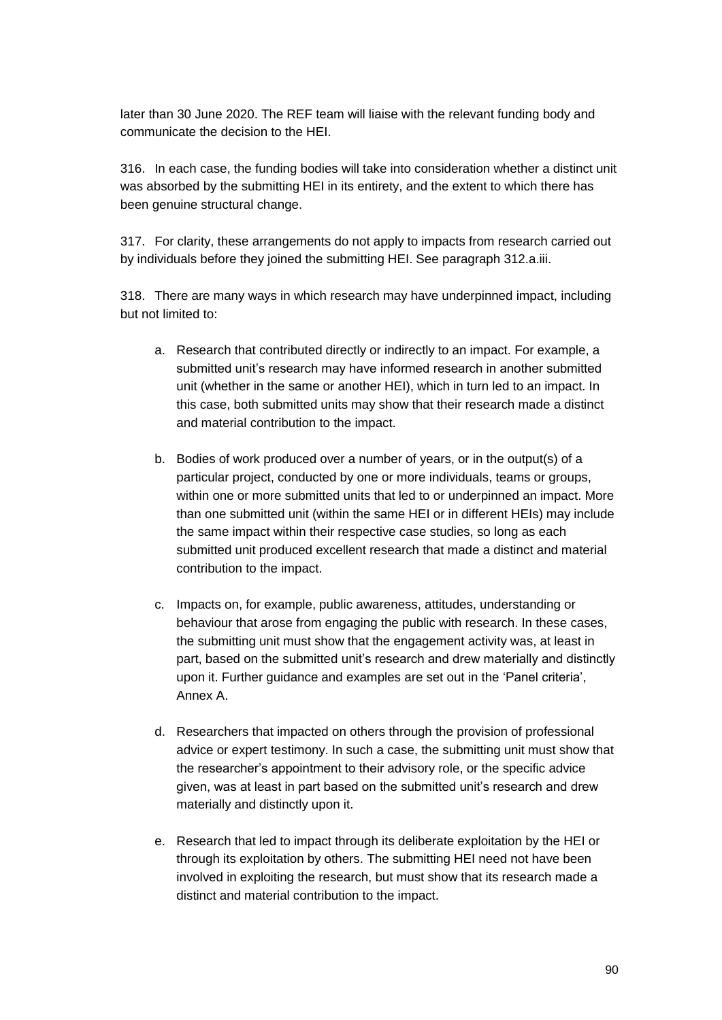later than 30 June 2020. The REF team will liaise with the relevant funding body and communicate the decision to the HEI.

316. In each case, the funding bodies will take into consideration whether a distinct unit was absorbed by the submitting HEI in its entirety, and the extent to which there has been genuine structural change.

317. For clarity, these arrangements do not apply to impacts from research carried out by individuals before they joined the submitting HEI. See paragraph 312.a.iii.

318. There are many ways in which research may have underpinned impact, including but not limited to:

- a. Research that contributed directly or indirectly to an impact. For example, a submitted unit's research may have informed research in another submitted unit (whether in the same or another HEI), which in turn led to an impact. In this case, both submitted units may show that their research made a distinct and material contribution to the impact.
- b. Bodies of work produced over a number of years, or in the output(s) of a particular project, conducted by one or more individuals, teams or groups, within one or more submitted units that led to or underpinned an impact. More than one submitted unit (within the same HEI or in different HEIs) may include the same impact within their respective case studies, so long as each submitted unit produced excellent research that made a distinct and material contribution to the impact.
- c. Impacts on, for example, public awareness, attitudes, understanding or behaviour that arose from engaging the public with research. In these cases, the submitting unit must show that the engagement activity was, at least in part, based on the submitted unit's research and drew materially and distinctly upon it. Further guidance and examples are set out in the 'Panel criteria', Annex A.
- d. Researchers that impacted on others through the provision of professional advice or expert testimony. In such a case, the submitting unit must show that the researcher's appointment to their advisory role, or the specific advice given, was at least in part based on the submitted unit's research and drew materially and distinctly upon it.
- e. Research that led to impact through its deliberate exploitation by the HEI or through its exploitation by others. The submitting HEI need not have been involved in exploiting the research, but must show that its research made a distinct and material contribution to the impact.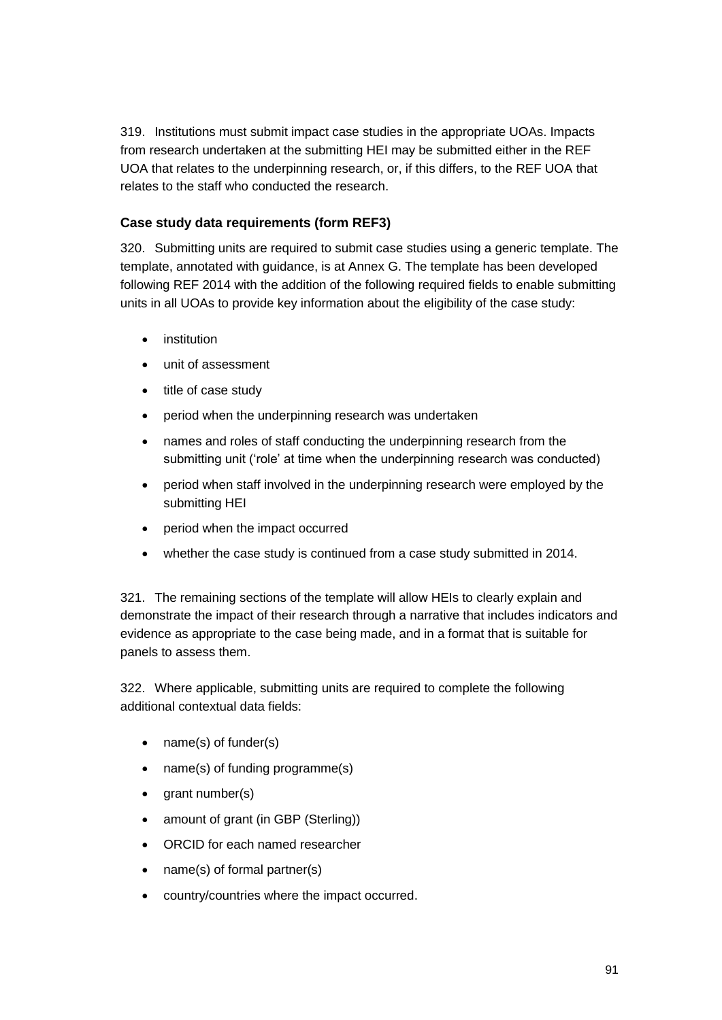319. Institutions must submit impact case studies in the appropriate UOAs. Impacts from research undertaken at the submitting HEI may be submitted either in the REF UOA that relates to the underpinning research, or, if this differs, to the REF UOA that relates to the staff who conducted the research.

## **Case study data requirements (form REF3)**

320. Submitting units are required to submit case studies using a generic template. The template, annotated with guidance, is at Annex G. The template has been developed following REF 2014 with the addition of the following required fields to enable submitting units in all UOAs to provide key information about the eligibility of the case study:

- institution
- unit of assessment
- title of case study
- period when the underpinning research was undertaken
- names and roles of staff conducting the underpinning research from the submitting unit ('role' at time when the underpinning research was conducted)
- period when staff involved in the underpinning research were employed by the submitting HEI
- period when the impact occurred
- whether the case study is continued from a case study submitted in 2014.

321. The remaining sections of the template will allow HEIs to clearly explain and demonstrate the impact of their research through a narrative that includes indicators and evidence as appropriate to the case being made, and in a format that is suitable for panels to assess them.

322. Where applicable, submitting units are required to complete the following additional contextual data fields:

- name(s) of funder(s)
- name(s) of funding programme(s)
- grant number(s)
- amount of grant (in GBP (Sterling))
- ORCID for each named researcher
- name(s) of formal partner(s)
- country/countries where the impact occurred.